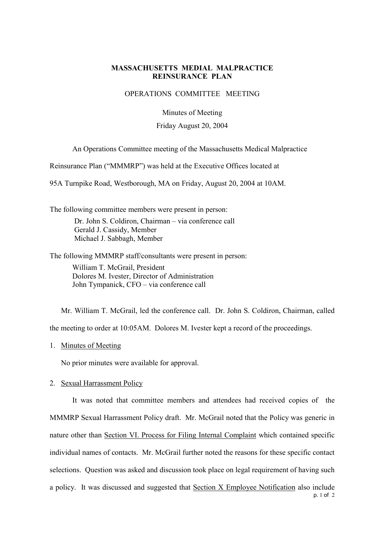# **MASSACHUSETTS MEDIAL MALPRACTICE REINSURANCE PLAN**

## OPERATIONS COMMITTEE MEETING

Minutes of Meeting

### Friday August 20, 2004

An Operations Committee meeting of the Massachusetts Medical Malpractice

Reinsurance Plan ("MMMRP") was held at the Executive Offices located at

95A Turnpike Road, Westborough, MA on Friday, August 20, 2004 at 10AM.

The following committee members were present in person: Dr. John S. Coldiron, Chairman – via conference call Gerald J. Cassidy, Member Michael J. Sabbagh, Member

The following MMMRP staff/consultants were present in person: William T. McGrail, President Dolores M. Ivester, Director of Administration John Tympanick, CFO – via conference call

Mr. William T. McGrail, led the conference call. Dr. John S. Coldiron, Chairman, called the meeting to order at 10:05AM. Dolores M. Ivester kept a record of the proceedings.

1. Minutes of Meeting

No prior minutes were available for approval.

#### 2. Sexual Harrassment Policy

p. 1 of 2 It was noted that committee members and attendees had received copies of the MMMRP Sexual Harrassment Policy draft. Mr. McGrail noted that the Policy was generic in nature other than Section VI. Process for Filing Internal Complaint which contained specific individual names of contacts. Mr. McGrail further noted the reasons for these specific contact selections. Question was asked and discussion took place on legal requirement of having such a policy. It was discussed and suggested that Section X Employee Notification also include